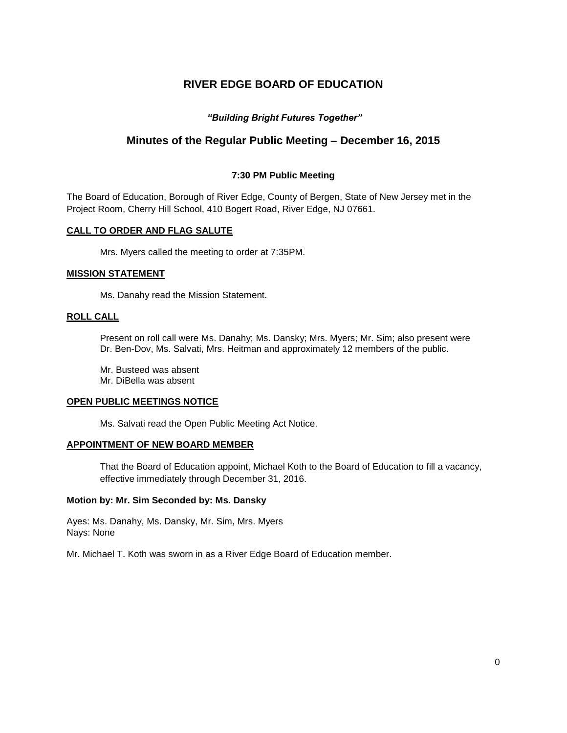# **RIVER EDGE BOARD OF EDUCATION**

## *"Building Bright Futures Together"*

## **Minutes of the Regular Public Meeting – December 16, 2015**

## **7:30 PM Public Meeting**

The Board of Education, Borough of River Edge, County of Bergen, State of New Jersey met in the Project Room, Cherry Hill School, 410 Bogert Road, River Edge, NJ 07661.

#### **CALL TO ORDER AND FLAG SALUTE**

Mrs. Myers called the meeting to order at 7:35PM.

#### **MISSION STATEMENT**

Ms. Danahy read the Mission Statement.

## **ROLL CALL**

Present on roll call were Ms. Danahy; Ms. Dansky; Mrs. Myers; Mr. Sim; also present were Dr. Ben-Dov, Ms. Salvati, Mrs. Heitman and approximately 12 members of the public.

Mr. Busteed was absent Mr. DiBella was absent

### **OPEN PUBLIC MEETINGS NOTICE**

Ms. Salvati read the Open Public Meeting Act Notice.

#### **APPOINTMENT OF NEW BOARD MEMBER**

That the Board of Education appoint, Michael Koth to the Board of Education to fill a vacancy, effective immediately through December 31, 2016.

#### **Motion by: Mr. Sim Seconded by: Ms. Dansky**

Ayes: Ms. Danahy, Ms. Dansky, Mr. Sim, Mrs. Myers Nays: None

Mr. Michael T. Koth was sworn in as a River Edge Board of Education member.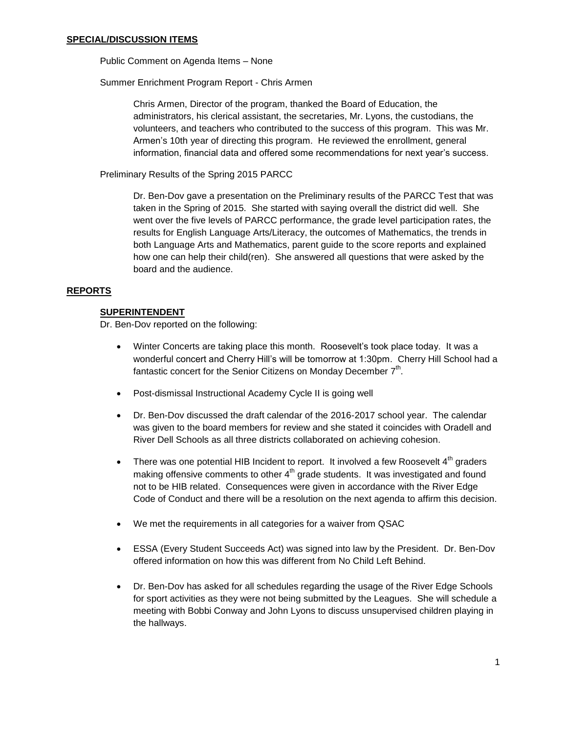Public Comment on Agenda Items – None

Summer Enrichment Program Report - Chris Armen

Chris Armen, Director of the program, thanked the Board of Education, the administrators, his clerical assistant, the secretaries, Mr. Lyons, the custodians, the volunteers, and teachers who contributed to the success of this program. This was Mr. Armen's 10th year of directing this program. He reviewed the enrollment, general information, financial data and offered some recommendations for next year's success.

Preliminary Results of the Spring 2015 PARCC

Dr. Ben-Dov gave a presentation on the Preliminary results of the PARCC Test that was taken in the Spring of 2015. She started with saying overall the district did well. She went over the five levels of PARCC performance, the grade level participation rates, the results for English Language Arts/Literacy, the outcomes of Mathematics, the trends in both Language Arts and Mathematics, parent guide to the score reports and explained how one can help their child(ren). She answered all questions that were asked by the board and the audience.

#### **REPORTS**

#### **SUPERINTENDENT**

Dr. Ben-Dov reported on the following:

- Winter Concerts are taking place this month. Roosevelt's took place today. It was a wonderful concert and Cherry Hill's will be tomorrow at 1:30pm. Cherry Hill School had a fantastic concert for the Senior Citizens on Monday December  $7<sup>th</sup>$ .
- Post-dismissal Instructional Academy Cycle II is going well
- Dr. Ben-Dov discussed the draft calendar of the 2016-2017 school year. The calendar was given to the board members for review and she stated it coincides with Oradell and River Dell Schools as all three districts collaborated on achieving cohesion.
- There was one potential HIB Incident to report. It involved a few Roosevelt  $4^{th}$  graders making offensive comments to other  $4<sup>th</sup>$  grade students. It was investigated and found not to be HIB related. Consequences were given in accordance with the River Edge Code of Conduct and there will be a resolution on the next agenda to affirm this decision.
- We met the requirements in all categories for a waiver from QSAC
- ESSA (Every Student Succeeds Act) was signed into law by the President. Dr. Ben-Dov offered information on how this was different from No Child Left Behind.
- Dr. Ben-Dov has asked for all schedules regarding the usage of the River Edge Schools for sport activities as they were not being submitted by the Leagues. She will schedule a meeting with Bobbi Conway and John Lyons to discuss unsupervised children playing in the hallways.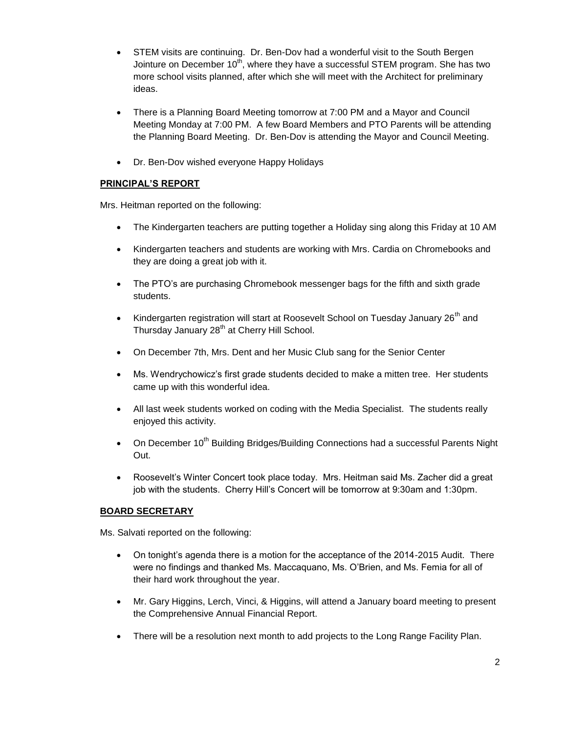- STEM visits are continuing. Dr. Ben-Dov had a wonderful visit to the South Bergen Jointure on December  $10^{th}$ , where they have a successful STEM program. She has two more school visits planned, after which she will meet with the Architect for preliminary ideas.
- There is a Planning Board Meeting tomorrow at 7:00 PM and a Mayor and Council Meeting Monday at 7:00 PM. A few Board Members and PTO Parents will be attending the Planning Board Meeting. Dr. Ben-Dov is attending the Mayor and Council Meeting.
- Dr. Ben-Dov wished everyone Happy Holidays

## **PRINCIPAL'S REPORT**

Mrs. Heitman reported on the following:

- The Kindergarten teachers are putting together a Holiday sing along this Friday at 10 AM
- Kindergarten teachers and students are working with Mrs. Cardia on Chromebooks and they are doing a great job with it.
- The PTO's are purchasing Chromebook messenger bags for the fifth and sixth grade students.
- Kindergarten registration will start at Roosevelt School on Tuesday January 26<sup>th</sup> and Thursday January 28<sup>th</sup> at Cherry Hill School.
- On December 7th, Mrs. Dent and her Music Club sang for the Senior Center
- Ms. Wendrychowicz's first grade students decided to make a mitten tree. Her students came up with this wonderful idea.
- All last week students worked on coding with the Media Specialist. The students really enjoyed this activity.
- On December  $10^{th}$  Building Bridges/Building Connections had a successful Parents Night Out.
- Roosevelt's Winter Concert took place today. Mrs. Heitman said Ms. Zacher did a great job with the students. Cherry Hill's Concert will be tomorrow at 9:30am and 1:30pm.

## **BOARD SECRETARY**

Ms. Salvati reported on the following:

- On tonight's agenda there is a motion for the acceptance of the 2014-2015 Audit. There were no findings and thanked Ms. Maccaquano, Ms. O'Brien, and Ms. Femia for all of their hard work throughout the year.
- Mr. Gary Higgins, Lerch, Vinci, & Higgins, will attend a January board meeting to present the Comprehensive Annual Financial Report.
- There will be a resolution next month to add projects to the Long Range Facility Plan.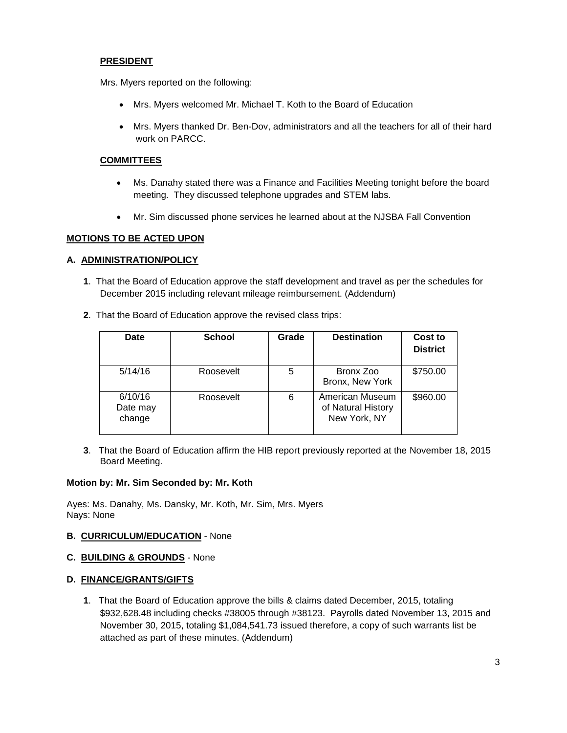## **PRESIDENT**

Mrs. Myers reported on the following:

- Mrs. Myers welcomed Mr. Michael T. Koth to the Board of Education
- Mrs. Myers thanked Dr. Ben-Dov, administrators and all the teachers for all of their hard work on PARCC.

## **COMMITTEES**

- Ms. Danahy stated there was a Finance and Facilities Meeting tonight before the board meeting. They discussed telephone upgrades and STEM labs.
- Mr. Sim discussed phone services he learned about at the NJSBA Fall Convention

#### **MOTIONS TO BE ACTED UPON**

## **A. ADMINISTRATION/POLICY**

- **1**. That the Board of Education approve the staff development and travel as per the schedules for December 2015 including relevant mileage reimbursement. (Addendum)
- **2**. That the Board of Education approve the revised class trips:

| <b>Date</b>                   | <b>School</b> | Grade | <b>Destination</b>                                    | Cost to<br><b>District</b> |
|-------------------------------|---------------|-------|-------------------------------------------------------|----------------------------|
| 5/14/16                       | Roosevelt     | 5     | Bronx Zoo<br>Bronx, New York                          | \$750.00                   |
| 6/10/16<br>Date may<br>change | Roosevelt     | 6     | American Museum<br>of Natural History<br>New York, NY | \$960.00                   |

**3**. That the Board of Education affirm the HIB report previously reported at the November 18, 2015 Board Meeting.

#### **Motion by: Mr. Sim Seconded by: Mr. Koth**

Ayes: Ms. Danahy, Ms. Dansky, Mr. Koth, Mr. Sim, Mrs. Myers Nays: None

#### **B. CURRICULUM/EDUCATION** - None

#### **C. BUILDING & GROUNDS** - None

#### **D. FINANCE/GRANTS/GIFTS**

**1**. That the Board of Education approve the bills & claims dated December, 2015, totaling \$932,628.48 including checks #38005 through #38123. Payrolls dated November 13, 2015 and November 30, 2015, totaling \$1,084,541.73 issued therefore, a copy of such warrants list be attached as part of these minutes. (Addendum)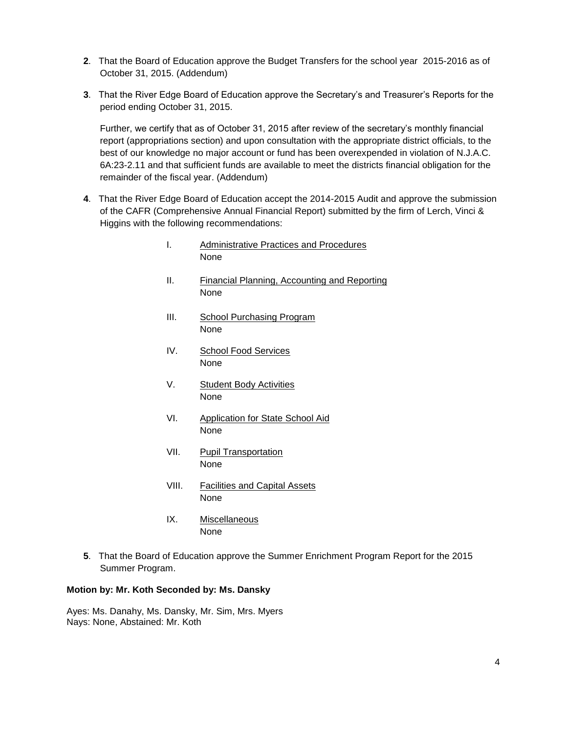- **2**. That the Board of Education approve the Budget Transfers for the school year 2015-2016 as of October 31, 2015. (Addendum)
- **3**. That the River Edge Board of Education approve the Secretary's and Treasurer's Reports for the period ending October 31, 2015.

Further, we certify that as of October 31, 2015 after review of the secretary's monthly financial report (appropriations section) and upon consultation with the appropriate district officials, to the best of our knowledge no major account or fund has been overexpended in violation of N.J.A.C. 6A:23-2.11 and that sufficient funds are available to meet the districts financial obligation for the remainder of the fiscal year. (Addendum)

- **4**. That the River Edge Board of Education accept the 2014-2015 Audit and approve the submission of the CAFR (Comprehensive Annual Financial Report) submitted by the firm of Lerch, Vinci & Higgins with the following recommendations:
	- I. Administrative Practices and Procedures None
	- II. Financial Planning, Accounting and Reporting None
	- III. School Purchasing Program None
	- IV. School Food Services None
	- V. Student Body Activities None
	- VI. Application for State School Aid None
	- VII. Pupil Transportation None
	- VIII. Facilities and Capital Assets None
	- IX. Miscellaneous None
- **5**. That the Board of Education approve the Summer Enrichment Program Report for the 2015 Summer Program.

## **Motion by: Mr. Koth Seconded by: Ms. Dansky**

Ayes: Ms. Danahy, Ms. Dansky, Mr. Sim, Mrs. Myers Nays: None, Abstained: Mr. Koth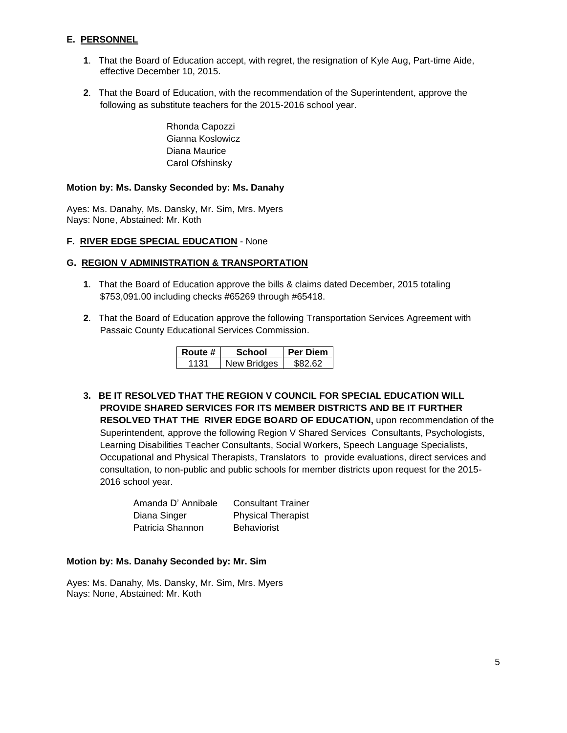## **E. PERSONNEL**

- **1**. That the Board of Education accept, with regret, the resignation of Kyle Aug, Part-time Aide, effective December 10, 2015.
- **2**. That the Board of Education, with the recommendation of the Superintendent, approve the following as substitute teachers for the 2015-2016 school year.

Rhonda Capozzi Gianna Koslowicz Diana Maurice Carol Ofshinsky

## **Motion by: Ms. Dansky Seconded by: Ms. Danahy**

Ayes: Ms. Danahy, Ms. Dansky, Mr. Sim, Mrs. Myers Nays: None, Abstained: Mr. Koth

## **F. RIVER EDGE SPECIAL EDUCATION** - None

## **G. REGION V ADMINISTRATION & TRANSPORTATION**

- **1**. That the Board of Education approve the bills & claims dated December, 2015 totaling \$753,091.00 including checks #65269 through #65418.
- **2**. That the Board of Education approve the following Transportation Services Agreement with Passaic County Educational Services Commission.

| Route # | School      | Per Diem |
|---------|-------------|----------|
|         | New Bridges | ፍጸን 62   |

**3. BE IT RESOLVED THAT THE REGION V COUNCIL FOR SPECIAL EDUCATION WILL PROVIDE SHARED SERVICES FOR ITS MEMBER DISTRICTS AND BE IT FURTHER RESOLVED THAT THE RIVER EDGE BOARD OF EDUCATION,** upon recommendation of the Superintendent, approve the following Region V Shared Services Consultants, Psychologists, Learning Disabilities Teacher Consultants, Social Workers, Speech Language Specialists, Occupational and Physical Therapists, Translators to provide evaluations, direct services and consultation, to non-public and public schools for member districts upon request for the 2015- 2016 school year.

| Amanda D' Annibale | <b>Consultant Trainer</b> |
|--------------------|---------------------------|
| Diana Singer       | <b>Physical Therapist</b> |
| Patricia Shannon   | <b>Behaviorist</b>        |

#### **Motion by: Ms. Danahy Seconded by: Mr. Sim**

Ayes: Ms. Danahy, Ms. Dansky, Mr. Sim, Mrs. Myers Nays: None, Abstained: Mr. Koth